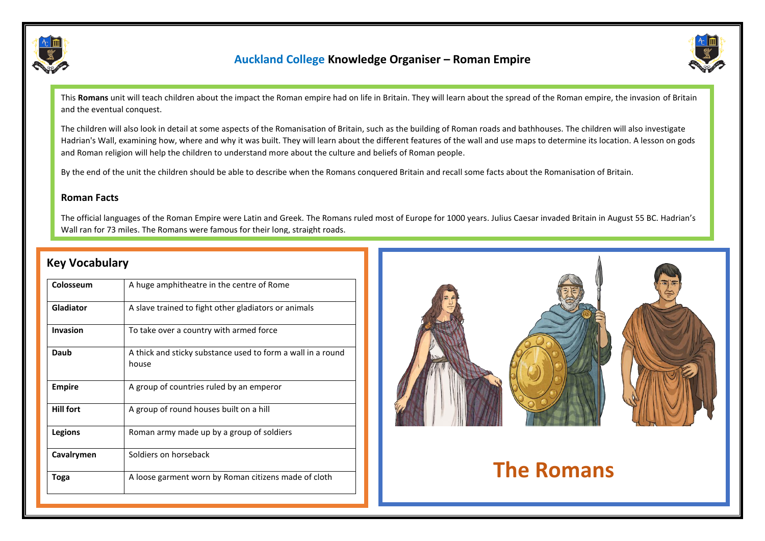

# **Auckland College Knowledge Organiser – Roman Empire**



This **Romans** unit will teach children about the impact the Roman empire had on life in Britain. They will learn about the spread of the Roman empire, the invasion of Britain and the eventual conquest.

The children will also look in detail at some aspects of the Romanisation of Britain, such as the building of Roman roads and bathhouses. The children will also investigate Hadrian's Wall, examining how, where and why it was built. They will learn about the different features of the wall and use maps to determine its location. A lesson on gods and Roman religion will help the children to understand more about the culture and beliefs of Roman people.

By the end of the unit the children should be able to describe when the Romans conquered Britain and recall some facts about the Romanisation of Britain.

### **Roman Facts**

The official languages of the Roman Empire were Latin and Greek. The Romans ruled most of Europe for 1000 years. Julius Caesar invaded Britain in August 55 BC. Hadrian's Wall ran for 73 miles. The Romans were famous for their long, straight roads.

# **Key Vocabulary**

| Colosseum        | A huge amphitheatre in the centre of Rome                            |
|------------------|----------------------------------------------------------------------|
| Gladiator        | A slave trained to fight other gladiators or animals                 |
| Invasion         | To take over a country with armed force                              |
| Daub             | A thick and sticky substance used to form a wall in a round<br>house |
| <b>Empire</b>    | A group of countries ruled by an emperor                             |
| <b>Hill fort</b> | A group of round houses built on a hill                              |
| Legions          | Roman army made up by a group of soldiers                            |
| Cavalrymen       | Soldiers on horseback                                                |
| Toga             | A loose garment worn by Roman citizens made of cloth                 |
|                  |                                                                      |



# **The Romans**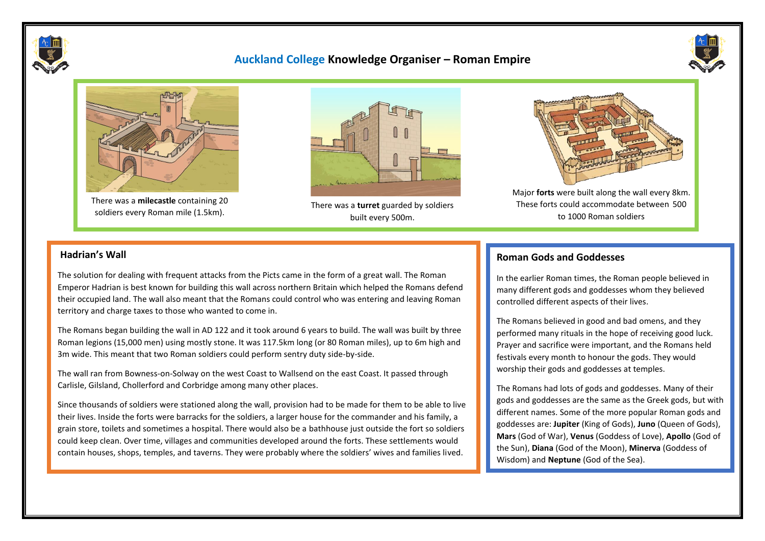

# **Auckland College Knowledge Organiser – Roman Empire**





There was a **milecastle** containing 20 soldiers every Roman mile (1.5km).



There was a **turret** guarded by soldiers built every 500m.



Major **forts** were built along the wall every 8km. These forts could accommodate between 500 to 1000 Roman soldiers

### **Hadrian's Wall**

The solution for dealing with frequent attacks from the Picts came in the form of a great wall. The Roman Emperor Hadrian is best known for building this wall across northern Britain which helped the Romans defend their occupied land. The wall also meant that the Romans could control who was entering and leaving Roman territory and charge taxes to those who wanted to come in.

The Romans began building the wall in AD 122 and it took around 6 years to build. The wall was built by three Roman legions (15,000 men) using mostly stone. It was 117.5km long (or 80 Roman miles), up to 6m high and 3m wide. This meant that two Roman soldiers could perform sentry duty side-by-side.

The wall ran from Bowness-on-Solway on the west Coast to Wallsend on the east Coast. It passed through Carlisle, Gilsland, Chollerford and Corbridge among many other places.

Since thousands of soldiers were stationed along the wall, provision had to be made for them to be able to live their lives. Inside the forts were barracks for the soldiers, a larger house for the commander and his family, a grain store, toilets and sometimes a hospital. There would also be a bathhouse just outside the fort so soldiers could keep clean. Over time, villages and communities developed around the forts. These settlements would contain houses, shops, temples, and taverns. They were probably where the soldiers' wives and families lived.

### **Roman Gods and Goddesses**

In the earlier Roman times, the Roman people believed in many different gods and goddesses whom they believed controlled different aspects of their lives.

The Romans believed in good and bad omens, and they performed many rituals in the hope of receiving good luck. Prayer and sacrifice were important, and the Romans held festivals every month to honour the gods. They would worship their gods and goddesses at temples.

The Romans had lots of gods and goddesses. Many of their gods and goddesses are the same as the Greek gods, but with different names. Some of the more popular Roman gods and goddesses are: **Jupiter** (King of Gods), **Juno** (Queen of Gods), **Mars** (God of War), **Venus** (Goddess of Love), **Apollo** (God of the Sun), **Diana** (God of the Moon), **Minerva** (Goddess of Wisdom) and **Neptune** (God of the Sea).